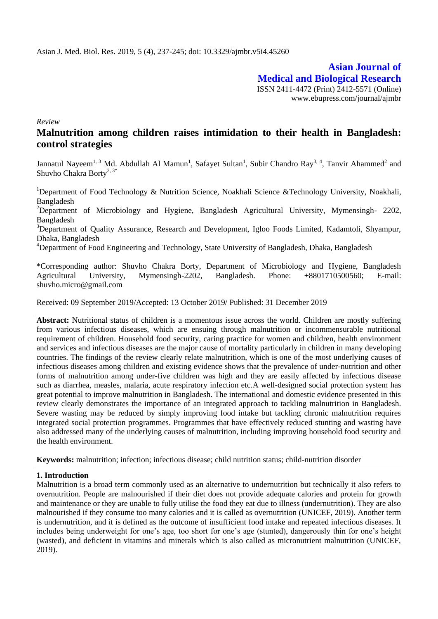**Asian Journal of Medical and Biological Research** ISSN 2411-4472 (Print) 2412-5571 (Online) www.ebupress.com/journal/ajmbr

*Review*

# **Malnutrition among children raises intimidation to their health in Bangladesh: control strategies**

Jannatul Nayeem<sup>1, 3</sup> Md. Abdullah Al Mamun<sup>1</sup>, Safayet Sultan<sup>1</sup>, Subir Chandro Ray<sup>3, 4</sup>, Tanvir Ahammed<sup>2</sup> and Shuvho Chakra Borty<sup>2, 3\*</sup>

<sup>1</sup>Department of Food Technology & Nutrition Science, Noakhali Science &Technology University, Noakhali, Bangladesh

<sup>2</sup>Department of Microbiology and Hygiene, Bangladesh Agricultural University, Mymensingh- 2202, Bangladesh

<sup>3</sup>Department of Quality Assurance, Research and Development, Igloo Foods Limited, Kadamtoli, Shyampur, Dhaka, Bangladesh

<sup>4</sup>Department of Food Engineering and Technology, State University of Bangladesh, Dhaka, Bangladesh

\*Corresponding author: Shuvho Chakra Borty, Department of Microbiology and Hygiene, Bangladesh Agricultural University, Mymensingh-2202, Bangladesh. Phone: +8801710500560; E-mail: shuvho.micro@gmail.com

Received: 09 September 2019/Accepted: 13 October 2019/ Published: 31 December 2019

**Abstract:** Nutritional status of children is a momentous issue across the world. Children are mostly suffering from various infectious diseases, which are ensuing through malnutrition or incommensurable nutritional requirement of children. Household food security, caring practice for women and children, health environment and services and infectious diseases are the major cause of mortality particularly in children in many developing countries. The findings of the review clearly relate malnutrition, which is one of the most underlying causes of infectious diseases among children and existing evidence shows that the prevalence of under-nutrition and other forms of malnutrition among under-five children was high and they are easily affected by infectious disease such as diarrhea, measles, malaria, acute respiratory infection etc.A well-designed social protection system has great potential to improve malnutrition in Bangladesh. The international and domestic evidence presented in this review clearly demonstrates the importance of an integrated approach to tackling malnutrition in Bangladesh. Severe wasting may be reduced by simply improving food intake but tackling chronic malnutrition requires integrated social protection programmes. Programmes that have effectively reduced stunting and wasting have also addressed many of the underlying causes of malnutrition, including improving household food security and the health environment.

**Keywords:** malnutrition; infection; infectious disease; child nutrition status; child-nutrition disorder

#### **1. Introduction**

Malnutrition is a broad term commonly used as an alternative to undernutrition but technically it also refers to overnutrition. People are malnourished if their diet does not provide adequate calories and protein for growth and maintenance or they are unable to fully utilise the food they eat due to illness (undernutrition). They are also malnourished if they consume too many calories and it is called as overnutrition (UNICEF, 2019). Another term is undernutrition, and it is defined as the outcome of insufficient food intake and repeated infectious diseases. It includes being underweight for one's age, too short for one's age (stunted), dangerously thin for one's height (wasted), and deficient in vitamins and minerals which is also called as micronutrient malnutrition (UNICEF, 2019).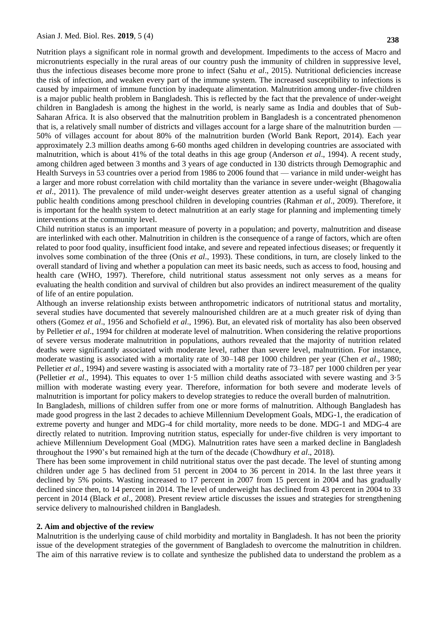Nutrition plays a significant role in normal growth and development. Impediments to the access of Macro and micronutrients especially in the rural areas of our country push the immunity of children in suppressive level, thus the infectious diseases become more prone to infect (Sahu *et al*., 2015). Nutritional deficiencies increase the risk of infection, and weaken every part of the immune system. The increased susceptibility to infections is caused by impairment of immune function by inadequate alimentation. Malnutrition among under-five children is a major public health problem in Bangladesh. This is reflected by the fact that the prevalence of under-weight children in Bangladesh is among the highest in the world, is nearly same as India and doubles that of Sub-Saharan Africa. It is also observed that the malnutrition problem in Bangladesh is a concentrated phenomenon that is, a relatively small number of districts and villages account for a large share of the malnutrition burden — 50% of villages account for about 80% of the malnutrition burden (World Bank Report, 2014). Each year approximately 2.3 million deaths among 6-60 months aged children in developing countries are associated with malnutrition, which is about 41% of the total deaths in this age group (Anderson *et al*., 1994). A recent study, among children aged between 3 months and 3 years of age conducted in 130 districts through Demographic and Health Surveys in 53 countries over a period from 1986 to 2006 found that — variance in mild under-weight has a larger and more robust correlation with child mortality than the variance in severe under-weight (Bhagowalia *et al*., 2011). The prevalence of mild under-weight deserves greater attention as a useful signal of changing public health conditions among preschool children in developing countries (Rahman *et al*., 2009). Therefore, it is important for the health system to detect malnutrition at an early stage for planning and implementing timely interventions at the community level.

Child nutrition status is an important measure of poverty in a population; and poverty, malnutrition and disease are interlinked with each other. Malnutrition in children is the consequence of a range of factors, which are often related to poor food quality, insufficient food intake, and severe and repeated infectious diseases; or frequently it involves some combination of the three (Onis *et al*., 1993). These conditions, in turn, are closely linked to the overall standard of living and whether a population can meet its basic needs, such as access to food, housing and health care (WHO, 1997). Therefore, child nutritional status assessment not only serves as a means for evaluating the health condition and survival of children but also provides an indirect measurement of the quality of life of an entire population.

Although an inverse relationship exists between anthropometric indicators of nutritional status and mortality, several studies have documented that severely malnourished children are at a much greater risk of dying than others (Gomez *et al*., 1956 and Schofield *et al*., 1996). But, an elevated risk of mortality has also been observed by Pelletier *et al*., 1994 for children at moderate level of malnutrition. When considering the relative proportions of severe versus moderate malnutrition in populations, authors revealed that the majority of nutrition related deaths were significantly associated with moderate level, rather than severe level, malnutrition. For instance, moderate wasting is associated with a mortality rate of 30–148 per 1000 children per year (Chen *et al*., 1980; Pelletier *et al*., 1994) and severe wasting is associated with a mortality rate of 73–187 per 1000 children per year (Pelletier *et al*., 1994). This equates to over 1·5 million child deaths associated with severe wasting and 3·5 million with moderate wasting every year. Therefore, information for both severe and moderate levels of malnutrition is important for policy makers to develop strategies to reduce the overall burden of malnutrition.

In Bangladesh, millions of children suffer from one or more forms of malnutrition. Although Bangladesh has made good progress in the last 2 decades to achieve Millennium Development Goals, MDG-1, the eradication of extreme poverty and hunger and MDG-4 for child mortality, more needs to be done. MDG-1 and MDG-4 are directly related to nutrition. Improving nutrition status, especially for under-five children is very important to achieve Millennium Development Goal (MDG). Malnutrition rates have seen a marked decline in Bangladesh throughout the 1990's but remained high at the turn of the decade (Chowdhury *et al*., 2018).

There has been some improvement in child nutritional status over the past decade. The level of stunting among children under age 5 has declined from 51 percent in 2004 to 36 percent in 2014. In the last three years it declined by 5% points. Wasting increased to 17 percent in 2007 from 15 percent in 2004 and has gradually declined since then, to 14 percent in 2014. The level of underweight has declined from 43 percent in 2004 to 33 percent in 2014 (Black *et al*., 2008). Present review article discusses the issues and strategies for strengthening service delivery to malnourished children in Bangladesh.

#### **2. Aim and objective of the review**

Malnutrition is the underlying cause of child morbidity and mortality in Bangladesh. It has not been the priority issue of the development strategies of the government of Bangladesh to overcome the malnutrition in children. The aim of this narrative review is to collate and synthesize the published data to understand the problem as a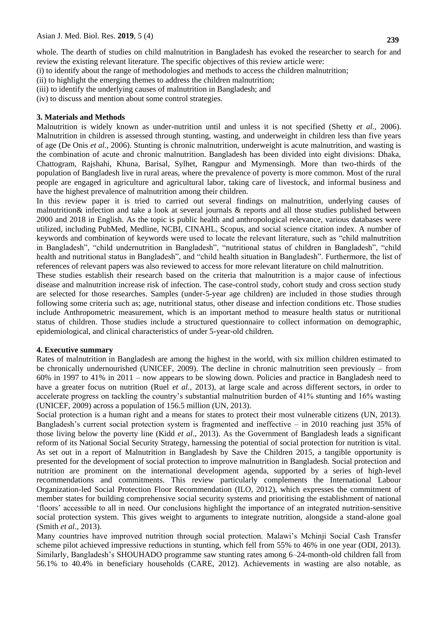(i) to identify about the range of methodologies and methods to access the children malnutrition;

(ii) to highlight the emerging themes to address the children malnutrition;

(iii) to identify the underlying causes of malnutrition in Bangladesh; and

(iv) to discuss and mention about some control strategies.

## **3. Materials and Methods**

Malnutrition is widely known as under-nutrition until and unless it is not specified (Shetty *et al.,* 2006). Malnutrition in children is assessed through stunting, wasting, and underweight in children less than five years of age (De Onis *et al.,* 2006). Stunting is chronic malnutrition, underweight is acute malnutrition, and wasting is the combination of acute and chronic malnutrition. Bangladesh has been divided into eight divisions: Dhaka, Chattogram, Rajshahi, Khuna, Barisal, Sylhet, Rangpur and Mymensingh. More than two-thirds of the population of Bangladesh live in rural areas, where the prevalence of poverty is more common. Most of the rural people are engaged in agriculture and agricultural labor, taking care of livestock, and informal business and have the highest prevalence of malnutrition among their children.

In this review paper it is tried to carried out several findings on malnutrition, underlying causes of malnutrition& infection and take a look at several journals & reports and all those studies published between 2000 and 2018 in English. As the topic is public health and anthropological relevance, various databases were utilized, including PubMed, Medline, NCBI, CINAHL, Scopus, and social science citation index. A number of keywords and combination of keywords were used to locate the relevant literature, such as "child malnutrition in Bangladesh", "child undernutrition in Bangladesh", "nutritional status of children in Bangladesh", "child health and nutritional status in Bangladesh", and "child health situation in Bangladesh". Furthermore, the list of references of relevant papers was also reviewed to access for more relevant literature on child malnutrition.

These studies establish their research based on the criteria that malnutrition is a major cause of infectious disease and malnutrition increase risk of infection. The case-control study, cohort study and cross section study are selected for those researches. Samples (under-5-year age children) are included in those studies through following some criteria such as; age, nutritional status, other disease and infection conditions etc. Those studies include Anthropometric measurement, which is an important method to measure health status or nutritional status of children. Those studies include a structured questionnaire to collect information on demographic, epidemiological, and clinical characteristics of under 5-year-old children.

## **4. Executive summary**

Rates of malnutrition in Bangladesh are among the highest in the world, with six million children estimated to be chronically undernourished (UNICEF, 2009). The decline in chronic malnutrition seen previously – from 60% in 1997 to 41% in 2011 – now appears to be slowing down. Policies and practice in Bangladesh need to have a greater focus on nutrition (Ruel *et al*., 2013), at large scale and across different sectors, in order to accelerate progress on tackling the country's substantial malnutrition burden of 41% stunting and 16% wasting (UNICEF, 2009) across a population of 156.5 million (UN, 2013).

Social protection is a human right and a means for states to protect their most vulnerable citizens (UN, 2013). Bangladesh's current social protection system is fragmented and ineffective – in 2010 reaching just 35% of those living below the poverty line (Kidd *et al*., 2013). As the Government of Bangladesh leads a significant reform of its National Social Security Strategy, harnessing the potential of social protection for nutrition is vital. As set out in a report of Malnutrition in Bangladesh by Save the Children 2015, a tangible opportunity is presented for the development of social protection to improve malnutrition in Bangladesh. Social protection and nutrition are prominent on the international development agenda, supported by a series of high-level recommendations and commitments. This review particularly complements the International Labour Organization-led Social Protection Floor Recommendation (ILO, 2012), which expresses the commitment of member states for building comprehensive social security systems and prioritising the establishment of national ‗floors' accessible to all in need. Our conclusions highlight the importance of an integrated nutrition-sensitive social protection system. This gives weight to arguments to integrate nutrition, alongside a stand-alone goal (Smith *et al*., 2013).

Many countries have improved nutrition through social protection. Malawi's Mchinji Social Cash Transfer scheme pilot achieved impressive reductions in stunting, which fell from 55% to 46% in one year (ODI, 2013). Similarly, Bangladesh's SHOUHADO programme saw stunting rates among 6–24-month-old children fall from 56.1% to 40.4% in beneficiary households (CARE, 2012). Achievements in wasting are also notable, as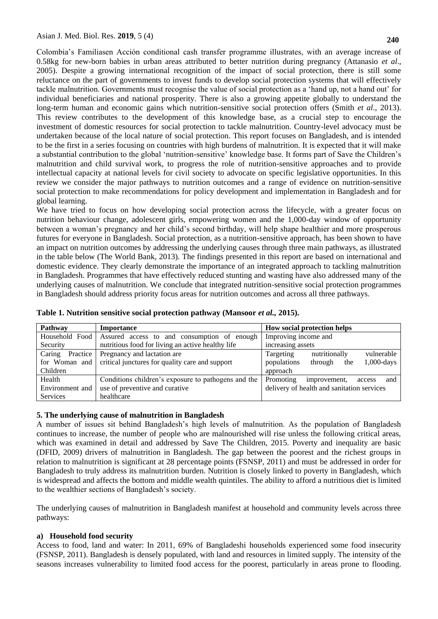Colombia's Familiasen Acción conditional cash transfer programme illustrates, with an average increase of 0.58kg for new-born babies in urban areas attributed to better nutrition during pregnancy (Attanasio *et al*., 2005). Despite a growing international recognition of the impact of social protection, there is still some reluctance on the part of governments to invest funds to develop social protection systems that will effectively tackle malnutrition. Governments must recognise the value of social protection as a 'hand up, not a hand out' for individual beneficiaries and national prosperity. There is also a growing appetite globally to understand the long-term human and economic gains which nutrition-sensitive social protection offers (Smith *et al*., 2013). This review contributes to the development of this knowledge base, as a crucial step to encourage the investment of domestic resources for social protection to tackle malnutrition. Country-level advocacy must be undertaken because of the local nature of social protection. This report focuses on Bangladesh, and is intended to be the first in a series focusing on countries with high burdens of malnutrition. It is expected that it will make a substantial contribution to the global 'nutrition-sensitive' knowledge base. It forms part of Save the Children's malnutrition and child survival work, to progress the role of nutrition-sensitive approaches and to provide intellectual capacity at national levels for civil society to advocate on specific legislative opportunities. In this review we consider the major pathways to nutrition outcomes and a range of evidence on nutrition-sensitive social protection to make recommendations for policy development and implementation in Bangladesh and for global learning.

We have tried to focus on how developing social protection across the lifecycle, with a greater focus on nutrition behaviour change, adolescent girls, empowering women and the 1,000-day window of opportunity between a woman's pregnancy and her child's second birthday, will help shape healthier and more prosperous futures for everyone in Bangladesh. Social protection, as a nutrition-sensitive approach, has been shown to have an impact on nutrition outcomes by addressing the underlying causes through three main pathways, as illustrated in the table below (The World Bank, 2013). The findings presented in this report are based on international and domestic evidence. They clearly demonstrate the importance of an integrated approach to tackling malnutrition in Bangladesh. Programmes that have effectively reduced stunting and wasting have also addressed many of the underlying causes of malnutrition. We conclude that integrated nutrition-sensitive social protection programmes in Bangladesh should address priority focus areas for nutrition outcomes and across all three pathways.

| Pathway            | <b>Importance</b>                                   | <b>How social protection helps</b>             |
|--------------------|-----------------------------------------------------|------------------------------------------------|
| Household Food     | Assured access to and consumption of enough         | Improving income and                           |
| Security           | nutritious food for living an active healthy life   | increasing assets                              |
| Caring<br>Practice | Pregnancy and lactation are                         | vulnerable<br>nutritionally<br>Targeting       |
| for Woman and I    | critical junctures for quality care and support     | populations<br>$1,000$ -days<br>through<br>the |
| Children           |                                                     | approach                                       |
| Health             | Conditions children's exposure to pathogens and the | Promoting<br>improvement,<br>and<br>access     |
| Environment and    | use of preventive and curative                      | delivery of health and sanitation services     |
| Services           | healthcare                                          |                                                |

**Table 1. Nutrition sensitive social protection pathway (Mansoor** *et al.,* **2015).**

# **5. The underlying cause of malnutrition in Bangladesh**

A number of issues sit behind Bangladesh's high levels of malnutrition. As the population of Bangladesh continues to increase, the number of people who are malnourished will rise unless the following critical areas, which was examined in detail and addressed by Save The Children, 2015. Poverty and inequality are basic (DFID, 2009) drivers of malnutrition in Bangladesh. The gap between the poorest and the richest groups in relation to malnutrition is significant at 28 percentage points (FSNSP, 2011) and must be addressed in order for Bangladesh to truly address its malnutrition burden. Nutrition is closely linked to poverty in Bangladesh, which is widespread and affects the bottom and middle wealth quintiles. The ability to afford a nutritious diet is limited to the wealthier sections of Bangladesh's society.

The underlying causes of malnutrition in Bangladesh manifest at household and community levels across three pathways:

# **a) Household food security**

Access to food, land and water: In 2011, 69% of Bangladeshi households experienced some food insecurity (FSNSP, 2011). Bangladesh is densely populated, with land and resources in limited supply. The intensity of the seasons increases vulnerability to limited food access for the poorest, particularly in areas prone to flooding.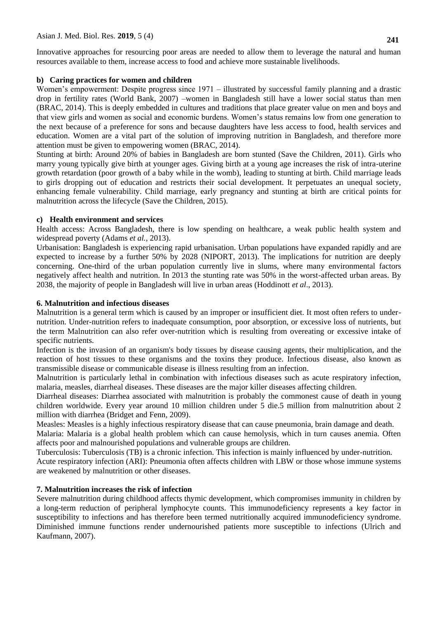Innovative approaches for resourcing poor areas are needed to allow them to leverage the natural and human resources available to them, increase access to food and achieve more sustainable livelihoods.

## **b) Caring practices for women and children**

Women's empowerment: Despite progress since  $1971 -$  illustrated by successful family planning and a drastic drop in fertility rates (World Bank, 2007) –women in Bangladesh still have a lower social status than men (BRAC, 2014). This is deeply embedded in cultures and traditions that place greater value on men and boys and that view girls and women as social and economic burdens. Women's status remains low from one generation to the next because of a preference for sons and because daughters have less access to food, health services and education. Women are a vital part of the solution of improving nutrition in Bangladesh, and therefore more attention must be given to empowering women (BRAC, 2014).

Stunting at birth: Around 20% of babies in Bangladesh are born stunted (Save the Children, 2011). Girls who marry young typically give birth at younger ages. Giving birth at a young age increases the risk of intra-uterine growth retardation (poor growth of a baby while in the womb), leading to stunting at birth. Child marriage leads to girls dropping out of education and restricts their social development. It perpetuates an unequal society, enhancing female vulnerability. Child marriage, early pregnancy and stunting at birth are critical points for malnutrition across the lifecycle (Save the Children, 2015).

#### **c) Health environment and services**

Health access: Across Bangladesh, there is low spending on healthcare, a weak public health system and widespread poverty (Adams *et al.,* 2013).

Urbanisation: Bangladesh is experiencing rapid urbanisation. Urban populations have expanded rapidly and are expected to increase by a further 50% by 2028 (NIPORT, 2013). The implications for nutrition are deeply concerning. One-third of the urban population currently live in slums, where many environmental factors negatively affect health and nutrition. In 2013 the stunting rate was 50% in the worst-affected urban areas. By 2038, the majority of people in Bangladesh will live in urban areas (Hoddinott *et al*., 2013).

#### **6. Malnutrition and infectious diseases**

Malnutrition is a general term which is caused by an improper or insufficient diet. It most often refers to undernutrition. Under-nutrition refers to inadequate consumption, poor absorption, or excessive loss of nutrients, but the term Malnutrition can also refer over-nutrition which is resulting from overeating or excessive intake of specific nutrients.

Infection is the invasion of an organism's body [tissues](https://en.wikipedia.org/wiki/Tissue_%28biology%29) by [disease](https://en.wikipedia.org/wiki/Disease) causing agents, their multiplication, and the reaction of host tissues to these organisms and the [toxins](https://en.wikipedia.org/wiki/Toxin) they produce. Infectious disease, also known as [transmissible disease](https://en.wikipedia.org/wiki/Transmissible_disease) or communicable disease is illness resulting from an infection.

Malnutrition is particularly lethal in combination with infectious diseases such as acute respiratory infection, malaria, measles, diarrheal diseases. These diseases are the major killer diseases affecting children.

Diarrheal diseases: Diarrhea associated with malnutrition is probably the commonest cause of death in young children worldwide. Every year around 10 million children under 5 die.5 million from malnutrition about 2 million with diarrhea (Bridget and Fenn*,* 2009).

Measles: Measles is a highly infectious respiratory disease that can cause pneumonia, brain damage and death. Malaria: Malaria is a global health problem which can cause hemolysis, which in turn causes anemia. Often affects poor and malnourished populations and vulnerable groups are children.

Tuberculosis: Tuberculosis (TB) is a chronic infection. This infection is mainly influenced by under-nutrition. Acute respiratory infection (ARI): Pneumonia often affects children with LBW or those whose immune systems are weakened by malnutrition or other diseases.

## **7. Malnutrition increases the risk of infection**

Severe malnutrition during childhood affects thymic development, which compromises immunity in children by a long-term reduction of peripheral lymphocyte counts. This immunodeficiency represents a key factor in susceptibility to infections and has therefore been termed nutritionally acquired immunodeficiency syndrome. Diminished immune functions render undernourished patients more susceptible to infections (Ulrich and Kaufmann, 2007).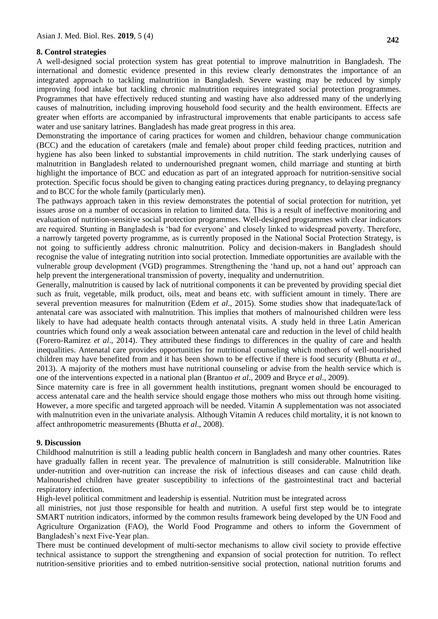#### **8. Control strategies**

A well-designed social protection system has great potential to improve malnutrition in Bangladesh. The international and domestic evidence presented in this review clearly demonstrates the importance of an integrated approach to tackling malnutrition in Bangladesh. Severe wasting may be reduced by simply improving food intake but tackling chronic malnutrition requires integrated social protection programmes. Programmes that have effectively reduced stunting and wasting have also addressed many of the underlying causes of malnutrition, including improving household food security and the health environment. Effects are greater when efforts are accompanied by infrastructural improvements that enable participants to access safe water and use sanitary latrines. Bangladesh has made great progress in this area.

Demonstrating the importance of caring practices for women and children, behaviour change communication (BCC) and the education of caretakers (male and female) about proper child feeding practices, nutrition and hygiene has also been linked to substantial improvements in child nutrition. The stark underlying causes of malnutrition in Bangladesh related to undernourished pregnant women, child marriage and stunting at birth highlight the importance of BCC and education as part of an integrated approach for nutrition-sensitive social protection. Specific focus should be given to changing eating practices during pregnancy, to delaying pregnancy and to BCC for the whole family (particularly men).

The pathways approach taken in this review demonstrates the potential of social protection for nutrition, yet issues arose on a number of occasions in relation to limited data. This is a result of ineffective monitoring and evaluation of nutrition-sensitive social protection programmes. Well-designed programmes with clear indicators are required. Stunting in Bangladesh is 'bad for everyone' and closely linked to widespread poverty. Therefore, a narrowly targeted poverty programme, as is currently proposed in the National Social Protection Strategy, is not going to sufficiently address chronic malnutrition. Policy and decision-makers in Bangladesh should recognise the value of integrating nutrition into social protection. Immediate opportunities are available with the vulnerable group development (VGD) programmes. Strengthening the ‗hand up, not a hand out' approach can help prevent the intergenerational transmission of poverty, inequality and undernutrition.

Generally, malnutrition is caused by lack of nutritional components it can be prevented by providing special diet such as fruit, vegetable, milk product, oils, meat and beans etc. with sufficient amount in timely. There are several prevention measures for malnutrition (Edem *et al*., 2015). Some studies show that inadequate/lack of antenatal care was associated with malnutrition. This implies that mothers of malnourished children were less likely to have had adequate health contacts through antenatal visits. A study held in three Latin American countries which found only a weak association between antenatal care and reduction in the level of child health (Forero-Ramirez *et al*., 2014). They attributed these findings to differences in the quality of care and health inequalities. Antenatal care provides opportunities for nutritional counseling which mothers of well-nourished children may have benefited from and it has been shown to be effective if there is food security (Bhutta *et al*., 2013). A majority of the mothers must have nutritional counseling or advise from the health service which is one of the interventions expected in a national plan (Brantuo *et al*., 2009 and Bryce *et al*., 2009).

Since maternity care is free in all government health institutions, pregnant women should be encouraged to access antenatal care and the health service should engage those mothers who miss out through home visiting. However, a more specific and targeted approach will be needed. Vitamin A supplementation was not associated with malnutrition even in the univariate analysis. Although Vitamin A reduces child mortality, it is not known to affect anthropometric measurements (Bhutta *et al*., 2008).

#### **9. Discussion**

Childhood malnutrition is still a leading public health concern in Bangladesh and many other countries. Rates have gradually fallen in recent year. The prevalence of malnutrition is still considerable. Malnutrition like under-nutrition and over-nutrition can increase the risk of infectious diseases and can cause child death. Malnourished children have greater susceptibility to infections of the gastrointestinal tract and bacterial respiratory infection.

High-level political commitment and leadership is essential. Nutrition must be integrated across

all ministries, not just those responsible for health and nutrition. A useful first step would be to integrate SMART nutrition indicators, informed by the common results framework being developed by the UN Food and Agriculture Organization (FAO), the World Food Programme and others to inform the Government of Bangladesh's next Five-Year plan.

There must be continued development of multi-sector mechanisms to allow civil society to provide effective technical assistance to support the strengthening and expansion of social protection for nutrition. To reflect nutrition-sensitive priorities and to embed nutrition-sensitive social protection, national nutrition forums and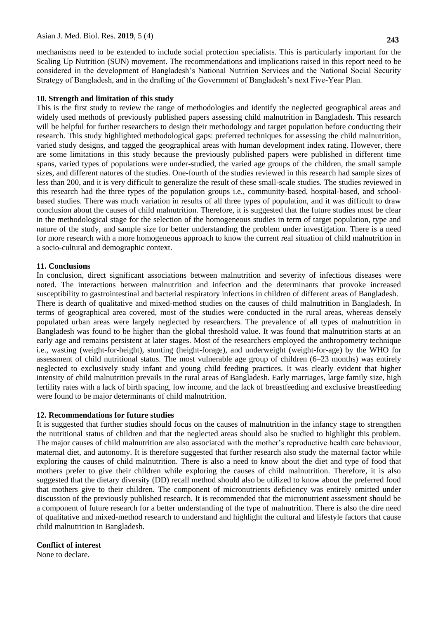mechanisms need to be extended to include social protection specialists. This is particularly important for the Scaling Up Nutrition (SUN) movement. The recommendations and implications raised in this report need to be considered in the development of Bangladesh's National Nutrition Services and the National Social Security Strategy of Bangladesh, and in the drafting of the Government of Bangladesh's next Five-Year Plan.

## **10. Strength and limitation of this study**

This is the first study to review the range of methodologies and identify the neglected geographical areas and widely used methods of previously published papers assessing child malnutrition in Bangladesh. This research will be helpful for further researchers to design their methodology and target population before conducting their research. This study highlighted methodological gaps: preferred techniques for assessing the child malnutrition, varied study designs, and tagged the geographical areas with human development index rating. However, there are some limitations in this study because the previously published papers were published in different time spans, varied types of populations were under-studied, the varied age groups of the children, the small sample sizes, and different natures of the studies. One-fourth of the studies reviewed in this research had sample sizes of less than 200, and it is very difficult to generalize the result of these small-scale studies. The studies reviewed in this research had the three types of the population groups i.e., community-based, hospital-based, and schoolbased studies. There was much variation in results of all three types of population, and it was difficult to draw conclusion about the causes of child malnutrition. Therefore, it is suggested that the future studies must be clear in the methodological stage for the selection of the homogeneous studies in term of target population, type and nature of the study, and sample size for better understanding the problem under investigation. There is a need for more research with a more homogeneous approach to know the current real situation of child malnutrition in a socio-cultural and demographic context.

## **11. Conclusions**

In conclusion, direct significant associations between malnutrition and severity of infectious diseases were noted. The interactions between malnutrition and infection and the determinants that provoke increased susceptibility to gastrointestinal and bacterial respiratory infections in children of different areas of Bangladesh. There is dearth of qualitative and mixed-method studies on the causes of child malnutrition in Bangladesh. In terms of geographical area covered, most of the studies were conducted in the rural areas, whereas densely populated urban areas were largely neglected by researchers. The prevalence of all types of malnutrition in Bangladesh was found to be higher than the global threshold value. It was found that malnutrition starts at an early age and remains persistent at later stages. Most of the researchers employed the anthropometry technique i.e., wasting (weight-for-height), stunting (height-forage), and underweight (weight-for-age) by the WHO for assessment of child nutritional status. The most vulnerable age group of children (6–23 months) was entirely neglected to exclusively study infant and young child feeding practices. It was clearly evident that higher intensity of child malnutrition prevails in the rural areas of Bangladesh. Early marriages, large family size, high fertility rates with a lack of birth spacing, low income, and the lack of breastfeeding and exclusive breastfeeding were found to be major determinants of child malnutrition.

## **12. Recommendations for future studies**

It is suggested that further studies should focus on the causes of malnutrition in the infancy stage to strengthen the nutritional status of children and that the neglected areas should also be studied to highlight this problem. The major causes of child malnutrition are also associated with the mother's reproductive health care behaviour, maternal diet, and autonomy. It is therefore suggested that further research also study the maternal factor while exploring the causes of child malnutrition. There is also a need to know about the diet and type of food that mothers prefer to give their children while exploring the causes of child malnutrition. Therefore, it is also suggested that the dietary diversity (DD) recall method should also be utilized to know about the preferred food that mothers give to their children. The component of micronutrients deficiency was entirely omitted under discussion of the previously published research. It is recommended that the micronutrient assessment should be a component of future research for a better understanding of the type of malnutrition. There is also the dire need of qualitative and mixed-method research to understand and highlight the cultural and lifestyle factors that cause child malnutrition in Bangladesh.

# **Conflict of interest**

None to declare.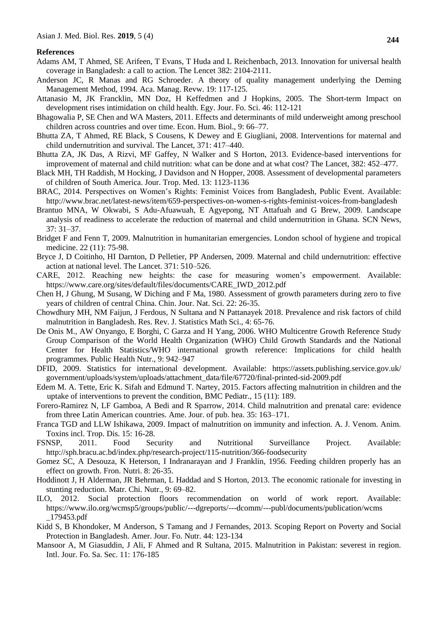#### **References**

- Adams AM, T Ahmed, SE Arifeen, T Evans, T Huda and L Reichenbach, 2013. Innovation for universal health coverage in Bangladesh: a call to action. The Lencet 382: 2104-2111.
- Anderson JC, R Manas and RG Schroeder. A theory of quality management underlying the Deming Management Method, 1994. Aca. Manag. Revw. 19: 117-125.
- Attanasio M, JK Francklin, MN Doz, H Keffedmen and J Hopkins, 2005. The Short-term Impact on development rises intimidation on child health. Egy. Jour. Fo. Sci. 46: 112-121
- Bhagowalia P, SE Chen and WA Masters, 2011. Effects and determinants of mild underweight among preschool children across countries and over time. Econ. Hum. Biol., 9: 66–77.
- Bhutta ZA, T Ahmed, RE Black, S Cousens, K Dewey and E Giugliani, 2008. Interventions for maternal and child undernutrition and survival. The Lancet, 371: 417–440.
- Bhutta ZA, JK Das, A Rizvi, MF Gaffey, N Walker and S Horton, 2013. Evidence-based interventions for improvement of maternal and child nutrition: what can be done and at what cost? The Lancet, 382: 452–477.
- Black MH, TH Raddish, M Hocking, J Davidson and N Hopper, 2008. Assessment of developmental parameters of children of South America. Jour. Trop. Med. 13: 1123-1136
- BRAC, 2014. Perspectives on Women's Rights: Feminist Voices from Bangladesh, Public Event. Available: <http://www.brac.net/latest-news/item/659-perspectives-on-women-s-rights-feminist-voices-from-bangladesh>
- Brantuo MNA, W Okwabi, S Adu-Afuawuah, E Agyepong, NT Attafuah and G Brew, 2009. Landscape analysis of readiness to accelerate the reduction of maternal and child undernutrition in Ghana. SCN News, 37: 31–37.
- Bridget F and Fenn T, 2009. Malnutrition in humanitarian emergencies. London school of hygiene and tropical medicine. 22 (11): 75-98.
- Bryce J, D Coitinho, HI Darnton, D Pelletier, PP Andersen, 2009. Maternal and child undernutrition: effective action at national level. The Lancet. 371: 510–526.
- CARE, 2012. Reaching new heights: the case for measuring women's empowerment. Available: [https://www.care.org/sites/default/files/documents/CARE\\_IWD\\_2012.pdf](https://www.care.org/sites/default/files/documents/CARE_IWD_2012.pdf)
- Chen H, J Ghung, M Susang, W Diching and F Ma, 1980. Assessment of growth parameters during zero to five years of children of central China. Chin. Jour. Nat. Sci. 22: 26-35.
- Chowdhury MH, NM Faijun, J Ferdous, N Sultana and N Pattanayek 2018. Prevalence and risk factors of child malnutrition in Bangladesh. Res. Rev. J. Statistics Math Sci., 4: 65-76.
- De Onis M., AW Onyango, E Borghi, C Garza and H Yang, 2006. WHO Multicentre Growth Reference Study Group Comparison of the World Health Organization (WHO) Child Growth Standards and the National Center for Health Statistics/WHO international growth reference: Implications for child health programmes. Public Health Nutr., 9: 942–947
- DFID, 2009. Statistics for international development. Available: [https://assets.publishing.service.gov.uk/](https://assets.publishing.service.gov.uk/government/uploads/system/uploads/attachment_data/file/67720/final-printed-sid-2009.pdf) [government/uploads/system/uploads/attachment\\_data/file/67720/final-printed-sid-2009.pdf](https://assets.publishing.service.gov.uk/government/uploads/system/uploads/attachment_data/file/67720/final-printed-sid-2009.pdf)
- [Edem M. A. Tette,](https://www.ncbi.nlm.nih.gov/pubmed/?term=Tette%20EM%5BAuthor%5D&cauthor=true&cauthor_uid=26586172) [Eric K. Sifah](https://www.ncbi.nlm.nih.gov/pubmed/?term=Sifah%20EK%5BAuthor%5D&cauthor=true&cauthor_uid=26586172) and [Edmund T. Nartey,](https://www.ncbi.nlm.nih.gov/pubmed/?term=Nartey%20ET%5BAuthor%5D&cauthor=true&cauthor_uid=26586172) 2015. Factors affecting malnutrition in children and the uptake of interventions to prevent the condition, [BMC Pediatr.](file:///C:/Users/Acer/Desktop/Factors%20affecting%20malnutrition%20in%20children%20and%20the%20uptake%20of%20interventions%20to%20prevent%20the%20condition.htm), 15 (11): 189.
- Forero-Ramirez N, LF Gamboa, A Bedi and R Sparrow, 2014. Child malnutrition and prenatal care: evidence from three Latin American countries. Ame. Jour. of pub. hea. 35: 163–171.
- Franca TGD and LLW Ishikawa, 2009. Impact of malnutrition on immunity and infection. A. J. Venom. Anim. Toxins incl. Trop. Dis. 15: 16-28.
- FSNSP, 2011. Food Security and Nutritional Surveillance Project. Available: <http://sph.bracu.ac.bd/index.php/research-project/115-nutrition/366-foodsecurity>
- Gomez SC, A Desouza, K Heterson, I Indranarayan and J Franklin, 1956. Feeding children properly has an effect on growth. Fron. Nutri. 8: 26-35.
- Hoddinott J, H Alderman, JR Behrman, L Haddad and S Horton, 2013. The economic rationale for investing in stunting reduction. Matr. Chi. Nutr., 9: 69–82.
- ILO, 2012. Social protection floors recommendation on world of work report. Available: [https://www.ilo.org/wcmsp5/groups/public/---dgreports/---dcomm/---publ/documents/publication/wcms](https://www.ilo.org/wcmsp5/groups/public/---dgreports/---dcomm/---publ/documents/publication/wcms_179453.pdf) [\\_179453.pdf](https://www.ilo.org/wcmsp5/groups/public/---dgreports/---dcomm/---publ/documents/publication/wcms_179453.pdf)
- Kidd S, B Khondoker, M Anderson, S Tamang and J Fernandes, 2013. Scoping Report on Poverty and Social Protection in Bangladesh. Amer. Jour. Fo. Nutr. 44: 123-134
- Mansoor A, M Giasuddin, J Ali, F Ahmed and R Sultana, 2015. Malnutrition in Pakistan: severest in region. Intl. Jour. Fo. Sa. Sec. 11: 176-185